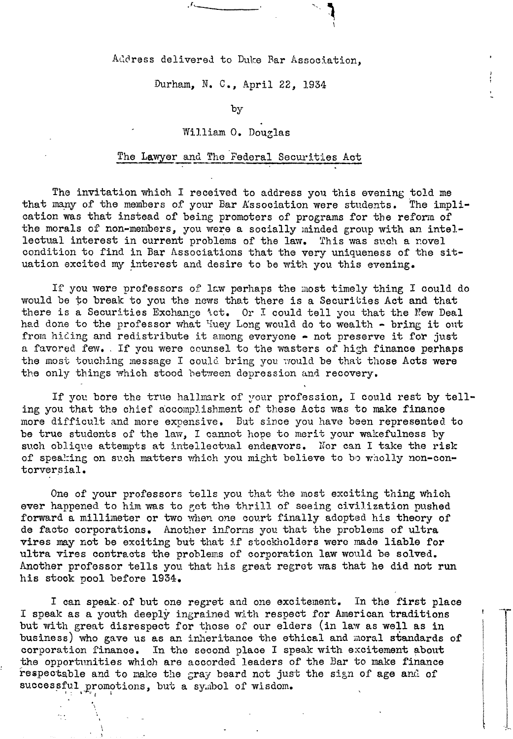Address delivered to Duke Bar Association,

Durham, N. C., April 22, 1934

by

## William O. Douglas

## The Lawyer and The Federal Securities Act

The invitation which I received to address you this evening told me that many of the members of your Bar Association were students. The implication was that instead of being promoters of programs for the reform of the morals of non-members, you were a socially minded group with an intellectual interest in current problems of the law. This was such a novel condition to find in Bar Associations that the very uniqueness of the situation excited my interest and desire to be with you this evening.

If you were professors of law perhaps the most timely thing I could do would be to break to you the news that there is a Securities Act and that there is a Securities Exchange Act. Or I could tell you that the New Deal had done to the professor what Huey Long would do to wealth - bring it out from hiding and redistribute it among everyone - not preserve it for just a favored few. If you were counsel to the wasters of high finance perhaps the most touching message I could bring you would be that those Acts were the only things which stood between depression and recovery.

If you bore the true hallmark of your profession, I could rest by telling you that the chief accomplishment of these Acts was to make finance more difficult and more expensive. But since you have been represented to be true students of the law, I cannot hope to merit your wakefulness by such oblique attempts at intellectual endeavors. Nor can I take the risk of speaking on such matters which you might believe to be wholly non-contorversial.

One of your professors tells you that the most exciting thing which ever happened to him was to get the thrill of seeing civilization pushed forward a millimeter or two when one court finally adopted his theory of de facto corporations. Another informs you that the problems of ultra vires may not be exciting but that if stockholders were made liable for ultra vires contracts the problems of corporation law would be solved. Another professor tells you that his great regret was that he did not run his stock pool before 1934.

I can speak of but one regret and one excitement. In the first place I speak as a youth deeply ingrained with respect for American traditions but with great disrespect for those of our elders (in law as well as in business) who gave us as an inheritance the ethical and moral standards of corporation finance. In the second place I speak with excitement about the opportunities which are accorded leaders of the Bar to make finance respectable and to make the gray beard not just the sign of age and of successful promotions, but a symbol of wisdom.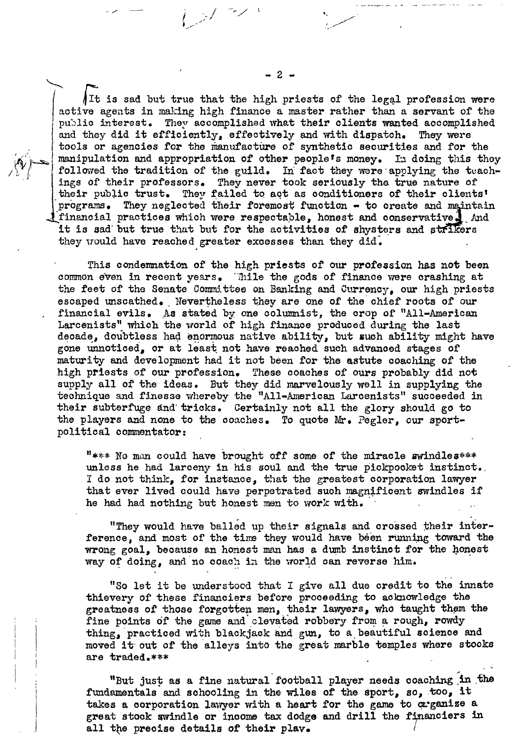$\hbox{{\tt It}}$  is sad but true that the high priests of the legal profession were active agents in making high finance a master rather than a servant of the public interest. They accomplished what their clients wanted accomplished and they did it efficiently, effectively and with dispatch. They were tools or agencies for the manufacture of synthetic securities and for the manipulation and appropriation of other people's money. In doing this they followed the tradition of the guild. In fact they were applying the teachings of their professors. They never took seriously the true nature of their public trust. They failed to act as conditioners of their clients' programs. They neglected their foremost function - to create and maintain I financial practices which were respectable, honest and conservative. And it is sad but true that but for the activities of shysters and strikers they would have reached greater excesses than they did.

This condemnation of the high priests of our profession has not been common even in recent years. Thile the gods of finance were crashing at the feet of the Senate Committee on Banking and Currency, our high priests escaped unscathed. Nevertheless they are one of the chief roots of our financial evils. As stated by one columnist, the crop of "All-American Larcenists" which the world of high finance produced during the last decade, doubtless had enormous native ability, but such ability might have gone unnoticed, or at least not have reached such advanced stages of maturity and development had it not been for the astute coaching of the high priests of our profession. These coaches of ours probably did not supply all of the ideas. But they did marvelously well in supplying the technique and finesse whereby the "All-American Larcenists" succeeded in their subterfuge and tricks. Certainly not all the glory should go to the players and none to the coaches. To quote Mr. Pegler, our sportpolitical commentator:

"\*\*\* No man could have brought off some of the miracle swindles\*\*\* unless he had larceny in his soul and the true pickpooket instinct. I do not think, for instance, that the greatest corporation lawyer that ever lived could have perpetrated such magnificent swindles if he had had nothing but honest men to work with.

"They would have balled up their signals and crossed their interference, and most of the time they would have been running toward the wrong goal, because an honest man has a dumb instinct for the honest way of doing, and no coach in the world can reverse him.

"So let it be understoed that I give all due credit to the innate thievery of these financiers before proceeding to acknowledge the greatness of those forgotten men, their lawyers, who taught them the fine points of the game and clevated robbery from a rough, rowdy thing, practiced with blackjack and gun, to a beautiful science and moved it out of the alleys into the great marble temples where stocks are traded.\*\*\*

"But just as a fine natural football player needs coaching in the fundamentals and schooling in the wiles of the sport, so, too, it takes a corporation lawyer with a heart for the game to grganize a great stock swindle or income tax dodge and drill the financiers in all the precise details of their play.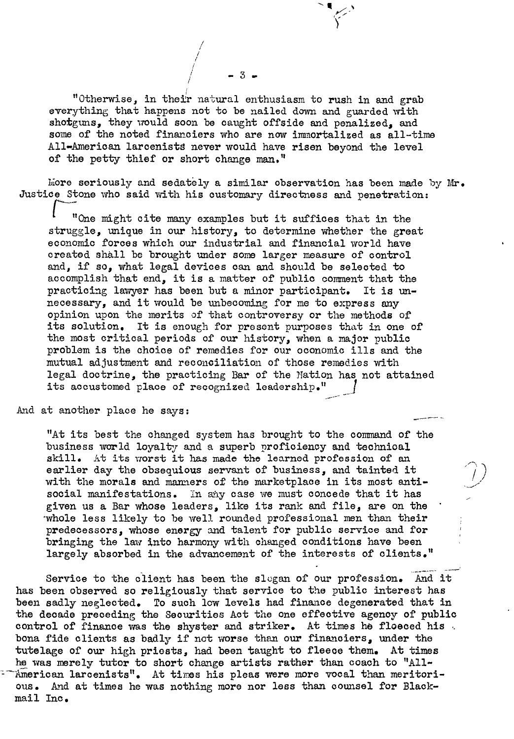! "Otherwise, in their natural enthusiasm to rush in and grab everything that happens not to be nailed down and guarded with shotguns, they would soon be caught offside and penalized, and some of the noted financiers who are now immortalized as all-time All-American larcenists never would have risen beyond the level of the petty thief or short change man."

-

! *I I* ;<br>;

*i -* 3 *<sup>I</sup>*

More seriously and sedately a similar observation has been made by  $Mr_{\bullet}$ Justice Stone who said with his customary directness and penetration:

"One might cite many examples but it suffices that in the struggle, unique in our history, to determine whether the great economic forces which our industrial and financial world have created shall be brought under some larger measure of control and, if so, what legal devices can and should be selected to accomplish that end, it is a matter of public comment that the practicing lawyer has been but a minor participant. It is unnecessary, and it would be unbecoming for me to express any opinion upon the merits of that controversy or the methods of its solution. It is enough for present purposes that in one of the most critical periods of our history, when a major public problem is the choice of remedies for our oconomic ills and the mutual adjustment and reconciliation of those remedies with legal doctrine, the practicing Bar of the Nation has not attained its accustomed place of recognized leadership."

And at another place he says:

"At its best the changed system has brought to the command of the business world loyalty and a superb proficiency and technical skill. At its worst it has made the learned profession of an earlier day the obsequious servant of business, and tainted it with the morals and manners of the marketplace in its most antisocial manifestations. In any case we must concede that it has given us a Bar whose leaders, like its rank and file, are on the 'whole less likely to be well rounded professional men than their predecessors, whose energy and talent for public service and for bringing the law into harmony with changed conditions have been largely absorbed in the advancement of the interests of clients."

Service to the client has been the slogan of our profession. And it has been observed so religiously that service to the public interest has been sadly neglected. To such low levels had finance degenerated that in the decade preceding the Securities Act the one effective agency of public control of finance was the shyster and striker. At times he floeced his. bona fide clients as badly if not worse than our financiers, under the tutelage of our high priosts, had been taught to fleece them. At times he was merely tutor to short change artists rather than coach to "All-- American larcenists". At times his pleas were more vocal than meritori ous. And at times he was nothing more nor less than counsel for Blackmail Inc.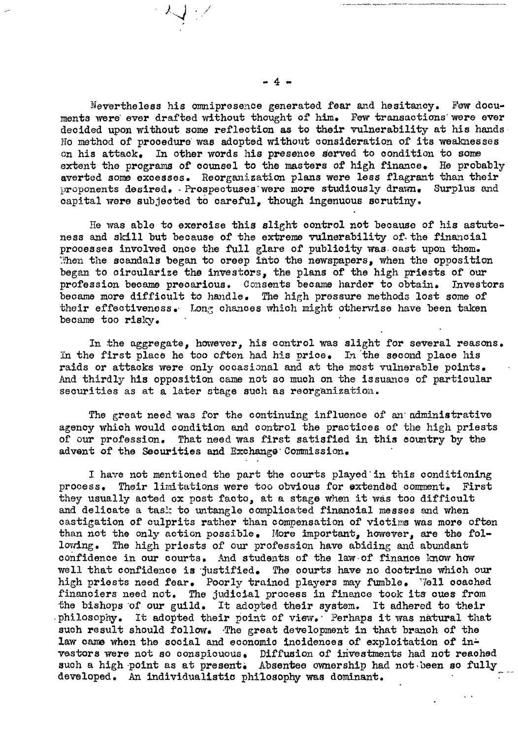Nevertheless his omnipresence generated fear and hesitancy. Few documents were ever drafted without thought of him. Few transactions were ever decided upon without some reflection as to their vulnerability at his hands No method of procedure was adopted without consideration of its weaknesses on his attack. In other words his presence served to condition to some extent the programs of counsel to the masters of high finance. He probably averted some excesses. Reorganization plans were less flagrant than their proponents desired. Prospectuses were more studiously drawn. Surplus and capital were subjected to careful, though ingenuous scrutiny.

He was able to exercise this slight control not because of his astuteness and skill but because of the extreme vulnerability of the financial processes involved once the full glare of publicity was cast upon them. Then the scandals began to creep into the newspapers, when the opposition began to circularize the investors, the plans of the high priests of our profession became precarious. Consents became harder to obtain. Investors became more difficult to handle. The high pressure methods lost some of their effectiveness. Long chances which might otherwise have been taken became too risky.

In the aggregate, however, his control was slight for several reasons. In the first place he too often had his price. In the second place his raids or attacks were only occasional and at the most vulnerable points. And thirdly his opposition came not so much on the issuance of particular securities as at a later stage such as reorganization.

The great need was for the continuing influence of an administrative agency which would condition and control the practices of the high priests of our profession. That need was first satisfied in this country by the advent of the Securities and Exchange Commission.

I have not mentioned the part the courts played in this conditioning process. Their limitations were too obvious for extended comment. First they usually acted ox post facto, at a stage when it was too difficult and delicate a task to untangle complicated financial messes and when castigation of culprits rather than compensation of victims was more often than not the only action possible. More important, however, are the fol-The high priests of our profession have abiding and abundant lowing. confidence in our courts. And students of the law of finance know how well that confidence is justified. The courts have no doctrine which our high priests need fear. Poorly trained players may fumble. Well coached financiers need not. The judicial process in finance took its cues from the bishops of our guild. It adopted their system. It adhered to their philosophy. It adopted their point of view. Perhaps it was natural that such result should follow. The great development in that branch of the law came when the social and economic incidences of exploitation of investors were not so conspicuous. Diffusion of investments had not reached such a high point as at present. Absentee ownership had not been so fully developed. An individualistic philosophy was dominant.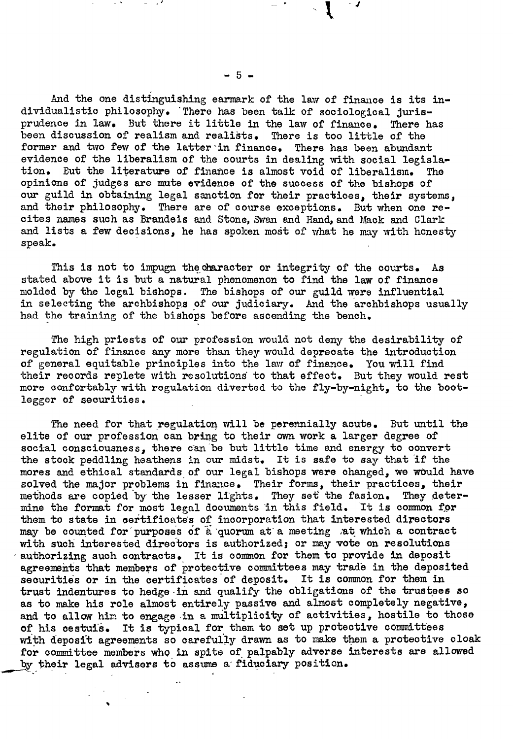And the one distinguishing earmark of the law of finance is its individualistio philosophy. 'Thero has been talk of sociologioal jurisprudence in law. But there it little in the law of finance. There has been disoussion of realism and realists. There is too little of the former and two few of the latter in finance. There has been abundant evidence of the liberalism of the courts in dealing with social legislation. But the literature of finance is almost void of liberalism. opinions of judges are mute evidenoe of the success of the bishops of our guild in obtaining legal sanction for their practices, their systems, and thoir philosophy. There are of course exceptions. But when one recites names such as Brandeis and Stone, Swan and Hand, and Mack and Clark and lists a few decisions, he has spoken most of what he may with honesty speak.

This is not to impugn the character or integrity of the courts. As stated above it is but a natural phenomenon to find the law of finance molded by the legal bishops. The bishops of our guild were influential in selecting the archbishops of our judiciary. And the archbishops usually had the training of the bishops before ascending the bench.

The high priests of our profession would not deny the desirability of regulation of finance any more than they would depreoate the introduction of general equitable principles into the law of finance. You will find their records replete with resolutions to that effect. But they would rest more oonfortably with regulation diverted to the fly-by-night, to the bootlegger of securities.

The need for that regulation will be perennially acute. But until the elite of our profession can bring to their own work a larger degree of social consciousness, there can be but little time and energy to convert the stock peddling heathens in our midst. It is safe to say that if the mores and ethical standards of our legal bishops were changed, we would have solved the major problems in finance. Their forms, their practices, their methods are copied by the lesser lights. They set the fasion. They determine the format for most legal documents in this field. It is common for them to state in oertificates of incorporation that interested directors may be counted for purposes of a quorum at a meeting at which a contract with such interested directors is authorized; or may vote on resolutions authorizing such contracts. It is common for them to provide in deposit agreements that members of protective committees may trade in the deposited securities or in the certificates of deposit. It is common for them in trust indentures to hedge in and qualify the obligations of the trustees so as to make his role almost entirely passive and almost completely negative, and to allow him to engage in a multiplicity of activities, hostile to those of his cestuis. It is typical for them to set up protective committees with deposit agreements so carefully drawn as to make them a protective cloak for committee members who in spite of palpably adverse interests are allowed by their legal advisers to assume a fiduciary position.

 $-5 -$ 

*, J*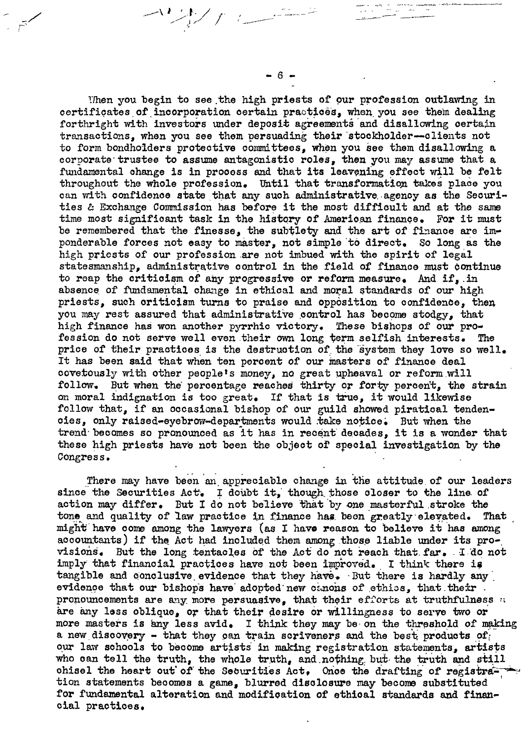When you begin to see the high priests of our profession outlawing in certificates of incorporation certain practices, when you see them dealing forthright with investors under deposit agreements and disallowing certain transactions. when you see them persuading their stockholder--clients not to form bondholders protective committees, when you see them disallowing a corporate trustee to assume antagonistic roles, then you may assume that a fundamental change is in process and that its leavening effect will be felt throughout the whole profession. Until that transformation takes place you can with confidence state that any such administrative agency as the Securities & Exchange Commission has before it the most difficult and at the same time most significant task in the history of American finance. For it must be remembered that the finesse, the subtlety and the art of finance are imponderable forces not easy to master, not simple to direct. So long as the high priests of our profession are not imbued with the spirit of legal statesmanship, administrative control in the field of finance must continue to reap the criticism of any progressive or reform measure. And if, in absence of fundamental change in ethical and moral standards of our high priests, such criticism turns to praise and opposition to confidence, then you may rest assured that administrative control has become stodgy. that high finance has won another pyrrhic victory. These bishops of our profession do not serve well even their own long term selfish interests. The price of their practices is the destruction of the system they love so well. It has been said that when ten percent of our masters of finance deal covetously with other people's money, no great upheaval or reform will follow. But when the percentage reaches thirty or forty percent. the strain on moral indignation is too great. If that is true, it would likewise follow that, if an occasional bishop of our guild showed piratical tendencies, only raised-eyebrow-departments would take notice. But when the trend becomes so pronounced as it has in recent decades, it is a wonder that these high priests have not been the object of special investigation by the Congress.

There may have been an appreciable change in the attitude of our leaders since the Securities Act. I doubt it, though those closer to the line of action may differ. But I do not believe that by one masterful stroke the tone and quality of law practice in finance has been greatly elevated. That might have come among the lawyers (as I have reason to believe it has among accountants) if the Act had included them among those liable under its provisions. But the long tentacles of the Act do not reach that far. I do not imply that financial practices have not been improved. I think there is tangible and conclusive evidence that they have. But there is hardly any evidence that our bishops have adopted new canons of ethics, that their. pronouncements are any more persuasive, that their efforts at truthfulness a are any loss oblique, or that their desire or willingness to serve two or more masters is any less avid. I think they may be on the threshold of making a new discovery - that they can train scriveners and the best products of our law schools to become artists in making registration statements, artists who can tell the truth, the whole truth, and nothing but the truth and still chisel the heart out of the Securities Act. Once the drafting of registration statements becomes a game, blurred disclosure may become substituted for fundamental alteration and modification of ethical standards and financial practices.

 $6 -$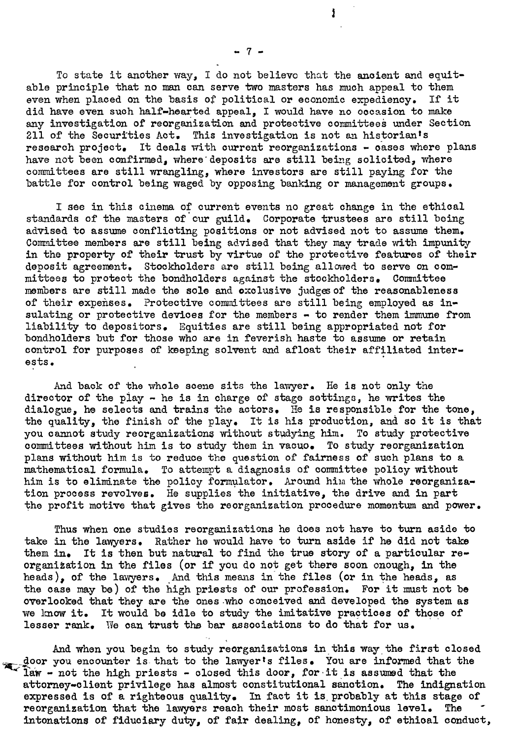To state it another way, I do not believe that the anoient and equitable principle that no man can serve two masters has much appeal to them even when placed on the basis of political or economic expediency. If it did have even such half-hearted appeal, I would have no occasion to make any investigation of reorganization and protective committees under Section 211 of the Securities Act. This investigation is not an historian's research project. It deals with current reorganizations - cases where plans have not been confirmed, where deposits are still being solicited, where commi ttees are still wrangling, where investors are still paying for the battle for oontrol being waged by opposing banking or management groups.

I see in this cinema of ourrent events no great ohange in the ethioal standards of the masters of cur guild. Corporate trustees are still being advised to assume conflioting positions or not advised not to assume them. Committee members are still being advised that they may trade with impunity in the property of their trust by virtue of the protective features of their deposit agreement. Stockholders are still being allowed to serve on committees to protect the bondholders against the stockholders. Committee members are still made the sole and exclusive judges of the reasonableness of their expenses. Protective committees are still being employed as insulating or protective devices for the members - to render them immune from liability to depositors. Equities are still being appropriated not for bondholders but for those who are in feverish haste to assume or retain control for purposes of keeping solvent and afloat their affiliated interests.

And baok of the whole scene sits the lawyer. He is not only the director of the piay - he is in charge of stage settings, he writes the dialogue, he selects and trains the actors. He is responsible for the tone, the quality, the finish of the play. It is his production, and so it is that you cannot study reorganizations without studying him. To study protective committees without him is to study them in vacuo. To study reorganization plans without him is to reduce the question of fairness of'such plans to a mathematical formula. To attempt a diagnosis of committee policy without him is to eliminate the policy formulator. Around him the whole reorganization process revolves. He supplies the initiative, the drive and in part the profit motive that gives the reorganization procedure momentum and power.

Thus when one studies reorganizations he does not have to turn aside to take in the lawyers. Rather he would have to turn aside if he did not take them in. It is then but natural to find the true story of a particular reorganization in the files (or if you do not get there soon onough, in the heads), of the lawyers. And this means in the files (or in the heads, as the case may be) of the high priests of our profession. For it must not be overlooked that they are the ones.who conceived and developed the system as we know it. It would be idle to study the imitative practices of those of lesser rank. We can trust the bar associations to do that for us.

And when you begin to study reorganizations in this way the first closed door you encounter is that to the lawyer's files. You are informed that the  $\overline{a}$  law - not the high priests - closed this door, for it is assumed that the attorney-client privilege has almost oonstitutional sanotion. The indignation expressed is of a righteous quality. In fact it is probably at this stage of reorganization that the lawyers reach their most sanctimonious level. The intonations of fiduoiary duty, of fair dealing, of honesty, of ethioal conduct,

- 7 -

Ĩ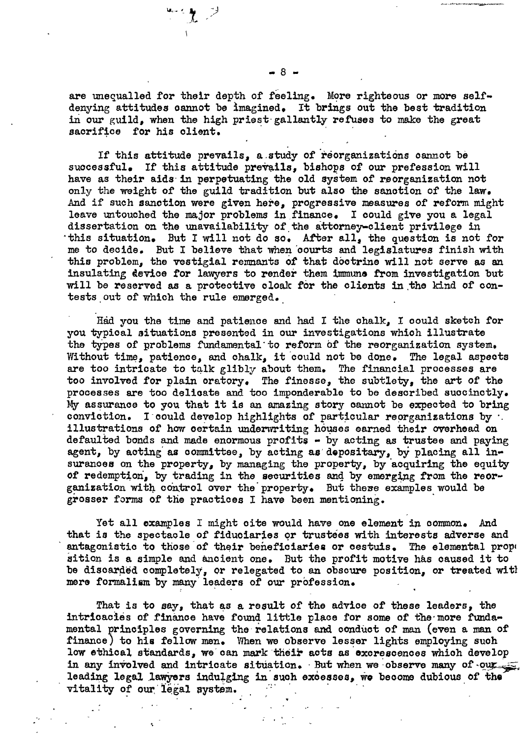are unequalled for their depth of feeling. More righteous or more selfdenying attitudes cannot be imagined. It brings out the best tradition in our guild, when the high priest gallantly refuses to make the great sacrifice for his client.

If this attitude prevails, a study of reorganizations cannot be successful. If this attitude prevails, bishops of our prefession will have as their aids in perpetuating the old system of reorganization not only the weight of the guild tradition but also the sanction of the law. And if such sanction were given here, progressive measures of reform might leave untouched the major problems in finance. I could give you a legal dissertation on the unavailability of the attorney-client privilege in this situation. But I will not do so. After all, the question is not for me to decide. But I believe that when courts and legislatures finish with this problem, the vestigial remnants of that doctrine will not serve as an insulating device for lawyers to render them immune from investigation but will be reserved as a protective cloak for the clients in the kind of contests out of which the rule emerged.

Had you the time and patience and had I the chalk, I could sketch for you typical situations presented in our investigations which illustrate the types of problems fundamental to reform of the reorganization system. Without time, patience, and chalk, it could not be done. The legal aspects are too intricate to talk glibly about them. The financial processes are too involved for plain oratory. The finesse, the subtlety, the art of the processes are too delicate and too imponderable to be described succinctly. My assurance to you that it is an amazing story cannot be expected to bring conviction. I could develop highlights of particular reorganizations by  $\cdot$ . illustrations of how certain underwriting houses earned their overhead on defaulted bonds and made enormous profits - by acting as trustee and paying agent, by acting as committee, by acting as depositary, by placing all insurances on the property, by managing the property, by acquiring the equity of redemption, by trading in the securities and by emerging from the reorganization with control over the property. But these examples would be grosser forms of the practices I have been mentioning.

Yet all examples I might cite would have one element in common. And that is the spectacle of fiduciaries or trustees with interests adverse and antagonistic to those of their beneficiaries or cestuis. The elemental prope sition is a simple and ancient one. But the profit motive has caused it to be discarded completely, or relegated to an obscure position, or treated with mere formalism by many leaders of our profession.

That is to say, that as a result of the advice of these leaders, the intricacies of finance have found little place for some of the more fundamental principles governing the relations and conduct of man (even a man of finance) to his fellow men. When we observe lesser lights employing such low ethical standards, we can mark their acts as excrescences which develop in any involved and intricate situation. But when we observe many of our leading legal lawyers indulging in such excesses, we become dubious of the vitality of our legal system.